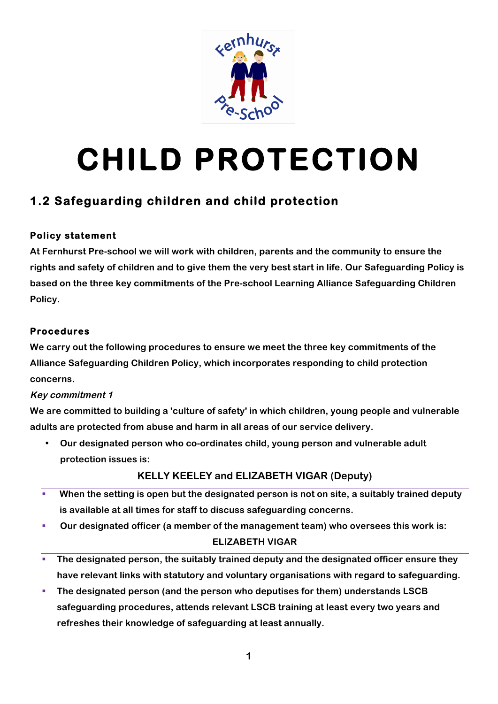

# **CHILD PROTECTION**

## **1.2 Safeguarding children and child protection**

## **Policy statement**

**At Fernhurst Pre-school we will work with children, parents and the community to ensure the rights and safety of children and to give them the very best start in life. Our Safeguarding Policy is based on the three key commitments of the Pre-school Learning Alliance Safeguarding Children Policy.**

## **Procedures**

**We carry out the following procedures to ensure we meet the three key commitments of the Alliance Safeguarding Children Policy, which incorporates responding to child protection concerns.**

## **Key commitment 1**

**We are committed to building a 'culture of safety' in which children, young people and vulnerable adults are protected from abuse and harm in all areas of our service delivery.**

• **Our designated person who co-ordinates child, young person and vulnerable adult protection issues is:**

## **KELLY KEELEY and ELIZABETH VIGAR (Deputy)**

- When the setting is open but the designated person is not on site, a suitably trained deputy **is available at all times for staff to discuss safeguarding concerns.**
- § **Our designated officer (a member of the management team) who oversees this work is:**
	- **ELIZABETH VIGAR**
- § **The designated person, the suitably trained deputy and the designated officer ensure they have relevant links with statutory and voluntary organisations with regard to safeguarding.**
- § **The designated person (and the person who deputises for them) understands LSCB safeguarding procedures, attends relevant LSCB training at least every two years and refreshes their knowledge of safeguarding at least annually.**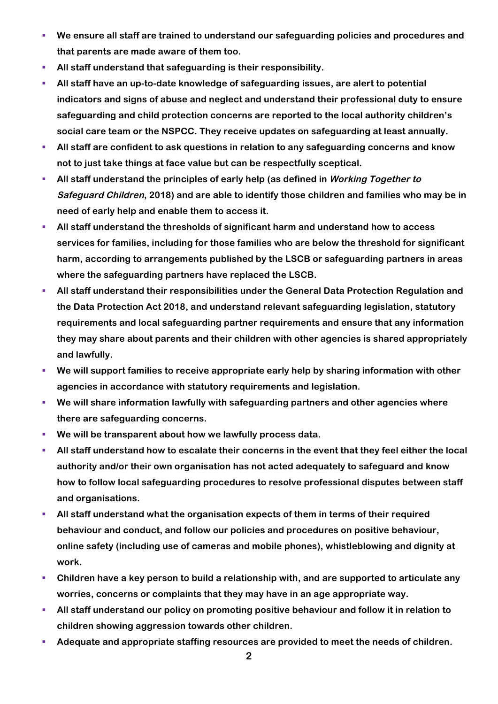- We ensure all staff are trained to understand our safeguarding policies and procedures and **that parents are made aware of them too.**
- § **All staff understand that safeguarding is their responsibility.**
- § **All staff have an up-to-date knowledge of safeguarding issues, are alert to potential indicators and signs of abuse and neglect and understand their professional duty to ensure safeguarding and child protection concerns are reported to the local authority children's social care team or the NSPCC. They receive updates on safeguarding at least annually.**
- **EXTER 19 All staff are confident to ask questions in relation to any safeguarding concerns and know not to just take things at face value but can be respectfully sceptical.**
- § **All staff understand the principles of early help (as defined in Working Together to Safeguard Children, 2018) and are able to identify those children and families who may be in need of early help and enable them to access it.**
- § **All staff understand the thresholds of significant harm and understand how to access services for families, including for those families who are below the threshold for significant harm, according to arrangements published by the LSCB or safeguarding partners in areas where the safeguarding partners have replaced the LSCB.**
- § **All staff understand their responsibilities under the General Data Protection Regulation and the Data Protection Act 2018, and understand relevant safeguarding legislation, statutory requirements and local safeguarding partner requirements and ensure that any information they may share about parents and their children with other agencies is shared appropriately and lawfully.**
- § **We will support families to receive appropriate early help by sharing information with other agencies in accordance with statutory requirements and legislation.**
- § **We will share information lawfully with safeguarding partners and other agencies where there are safeguarding concerns.**
- § **We will be transparent about how we lawfully process data.**
- § **All staff understand how to escalate their concerns in the event that they feel either the local authority and/or their own organisation has not acted adequately to safeguard and know how to follow local safeguarding procedures to resolve professional disputes between staff and organisations.**
- § **All staff understand what the organisation expects of them in terms of their required behaviour and conduct, and follow our policies and procedures on positive behaviour, online safety (including use of cameras and mobile phones), whistleblowing and dignity at work.**
- § **Children have a key person to build a relationship with, and are supported to articulate any worries, concerns or complaints that they may have in an age appropriate way.**
- § **All staff understand our policy on promoting positive behaviour and follow it in relation to children showing aggression towards other children.**
- § **Adequate and appropriate staffing resources are provided to meet the needs of children.**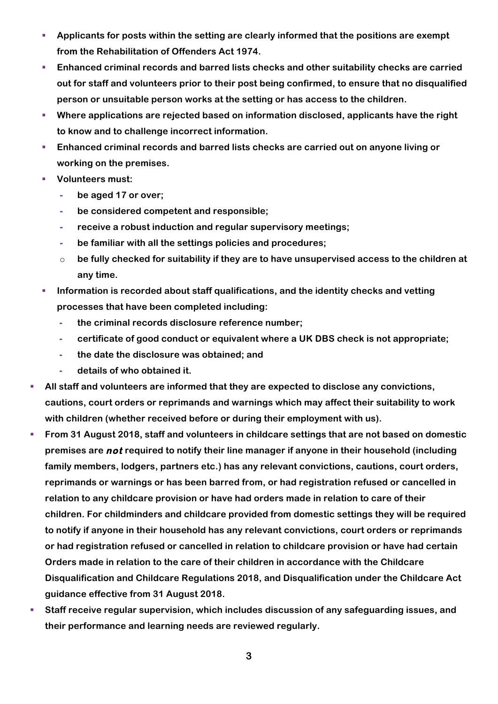- § **Applicants for posts within the setting are clearly informed that the positions are exempt from the Rehabilitation of Offenders Act 1974.**
- § **Enhanced criminal records and barred lists checks and other suitability checks are carried out for staff and volunteers prior to their post being confirmed, to ensure that no disqualified person or unsuitable person works at the setting or has access to the children.**
- § **Where applications are rejected based on information disclosed, applicants have the right to know and to challenge incorrect information.**
- **Enhanced criminal records and barred lists checks are carried out on anyone living or working on the premises.**
- § **Volunteers must:**
	- **- be aged 17 or over;**
	- **- be considered competent and responsible;**
	- **- receive a robust induction and regular supervisory meetings;**
	- **- be familiar with all the settings policies and procedures;**
	- o **be fully checked for suitability if they are to have unsupervised access to the children at any time.**
- § **Information is recorded about staff qualifications, and the identity checks and vetting processes that have been completed including:**
	- **- the criminal records disclosure reference number;**
	- **- certificate of good conduct or equivalent where a UK DBS check is not appropriate;**
	- **- the date the disclosure was obtained; and**
	- **- details of who obtained it.**
- § **All staff and volunteers are informed that they are expected to disclose any convictions, cautions, court orders or reprimands and warnings which may affect their suitability to work with children (whether received before or during their employment with us).**
- § **From 31 August 2018, staff and volunteers in childcare settings that are not based on domestic premises are not required to notify their line manager if anyone in their household (including family members, lodgers, partners etc.) has any relevant convictions, cautions, court orders, reprimands or warnings or has been barred from, or had registration refused or cancelled in relation to any childcare provision or have had orders made in relation to care of their children. For childminders and childcare provided from domestic settings they will be required to notify if anyone in their household has any relevant convictions, court orders or reprimands or had registration refused or cancelled in relation to childcare provision or have had certain Orders made in relation to the care of their children in accordance with the Childcare Disqualification and Childcare Regulations 2018, and Disqualification under the Childcare Act guidance effective from 31 August 2018.**
- § **Staff receive regular supervision, which includes discussion of any safeguarding issues, and their performance and learning needs are reviewed regularly.**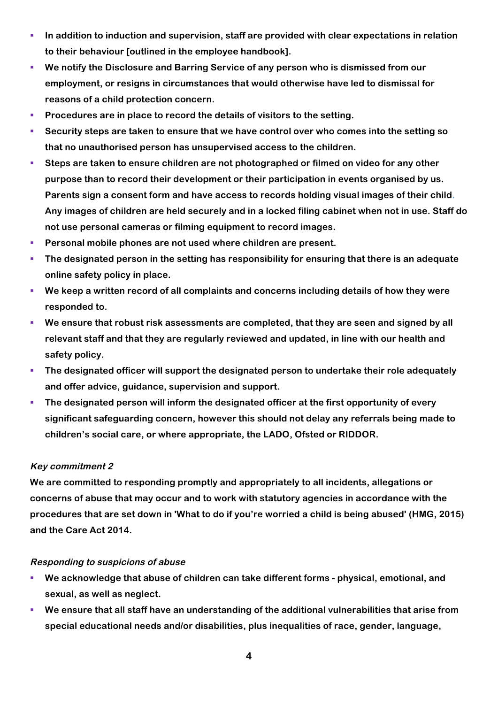- **IDED** In addition to induction and supervision, staff are provided with clear expectations in relation **to their behaviour [outlined in the employee handbook].**
- § **We notify the Disclosure and Barring Service of any person who is dismissed from our employment, or resigns in circumstances that would otherwise have led to dismissal for reasons of a child protection concern.**
- § **Procedures are in place to record the details of visitors to the setting.**
- § **Security steps are taken to ensure that we have control over who comes into the setting so that no unauthorised person has unsupervised access to the children.**
- Steps are taken to ensure children are not photographed or filmed on video for any other **purpose than to record their development or their participation in events organised by us. Parents sign a consent form and have access to records holding visual images of their child. Any images of children are held securely and in a locked filing cabinet when not in use. Staff do not use personal cameras or filming equipment to record images.**
- § **Personal mobile phones are not used where children are present.**
- **The designated person in the setting has responsibility for ensuring that there is an adequate online safety policy in place.**
- § **We keep a written record of all complaints and concerns including details of how they were responded to.**
- We ensure that robust risk assessments are completed, that they are seen and signed by all **relevant staff and that they are regularly reviewed and updated, in line with our health and safety policy.**
- The designated officer will support the designated person to undertake their role adequately **and offer advice, guidance, supervision and support.**
- **The designated person will inform the designated officer at the first opportunity of every significant safeguarding concern, however this should not delay any referrals being made to children's social care, or where appropriate, the LADO, Ofsted or RIDDOR.**

#### **Key commitment 2**

**We are committed to responding promptly and appropriately to all incidents, allegations or concerns of abuse that may occur and to work with statutory agencies in accordance with the procedures that are set down in 'What to do if you're worried a child is being abused' (HMG, 2015) and the Care Act 2014.**

#### **Responding to suspicions of abuse**

- § **We acknowledge that abuse of children can take different forms - physical, emotional, and sexual, as well as neglect.**
- We ensure that all staff have an understanding of the additional vulnerabilities that arise from **special educational needs and/or disabilities, plus inequalities of race, gender, language,**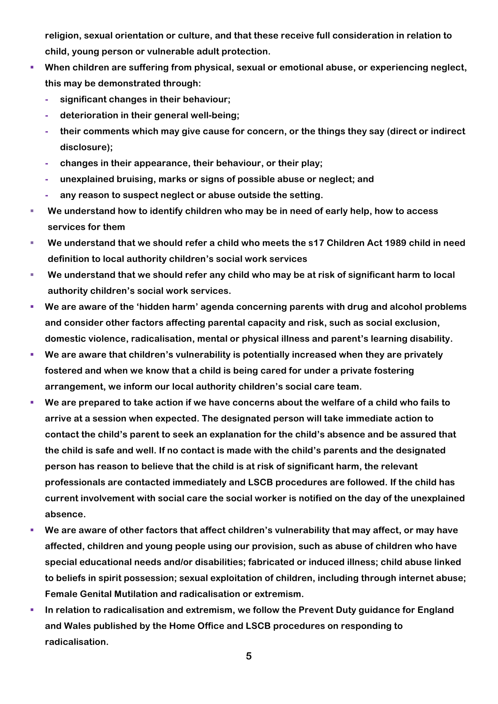**religion, sexual orientation or culture, and that these receive full consideration in relation to child, young person or vulnerable adult protection.**

- When children are suffering from physical, sexual or emotional abuse, or experiencing neglect, **this may be demonstrated through:**
	- **- significant changes in their behaviour;**
	- **- deterioration in their general well-being;**
	- **- their comments which may give cause for concern, or the things they say (direct or indirect disclosure);**
	- **- changes in their appearance, their behaviour, or their play;**
	- **- unexplained bruising, marks or signs of possible abuse or neglect; and**
	- **- any reason to suspect neglect or abuse outside the setting.**
- § **We understand how to identify children who may be in need of early help, how to access services for them**
- § **We understand that we should refer a child who meets the s17 Children Act 1989 child in need definition to local authority children's social work services**
- We understand that we should refer any child who may be at risk of significant harm to local **authority children's social work services.**
- § **We are aware of the 'hidden harm' agenda concerning parents with drug and alcohol problems and consider other factors affecting parental capacity and risk, such as social exclusion, domestic violence, radicalisation, mental or physical illness and parent's learning disability.**
- We are aware that children's vulnerability is potentially increased when they are privately **fostered and when we know that a child is being cared for under a private fostering arrangement, we inform our local authority children's social care team.**
- § **We are prepared to take action if we have concerns about the welfare of a child who fails to arrive at a session when expected. The designated person will take immediate action to contact the child's parent to seek an explanation for the child's absence and be assured that the child is safe and well. If no contact is made with the child's parents and the designated person has reason to believe that the child is at risk of significant harm, the relevant professionals are contacted immediately and LSCB procedures are followed. If the child has current involvement with social care the social worker is notified on the day of the unexplained absence.**
- § **We are aware of other factors that affect children's vulnerability that may affect, or may have affected, children and young people using our provision, such as abuse of children who have special educational needs and/or disabilities; fabricated or induced illness; child abuse linked to beliefs in spirit possession; sexual exploitation of children, including through internet abuse; Female Genital Mutilation and radicalisation or extremism.**
- § **In relation to radicalisation and extremism, we follow the Prevent Duty guidance for England and Wales published by the Home Office and LSCB procedures on responding to radicalisation.**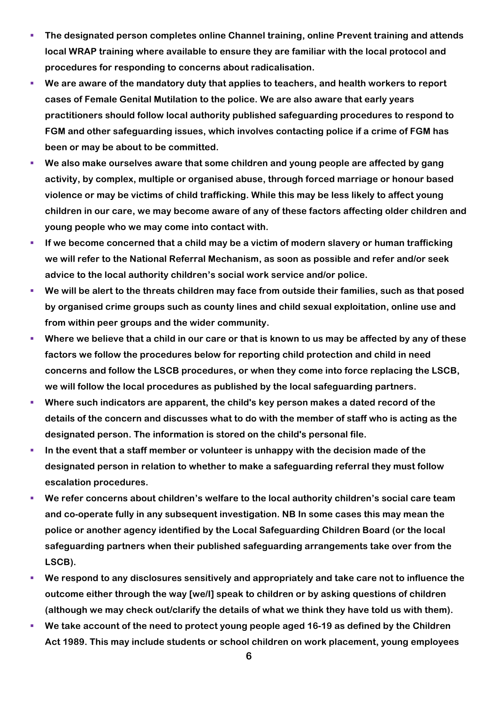- § **The designated person completes online Channel training, online Prevent training and attends local WRAP training where available to ensure they are familiar with the local protocol and procedures for responding to concerns about radicalisation.**
- § **We are aware of the mandatory duty that applies to teachers, and health workers to report cases of Female Genital Mutilation to the police. We are also aware that early years practitioners should follow local authority published safeguarding procedures to respond to FGM and other safeguarding issues, which involves contacting police if a crime of FGM has been or may be about to be committed.**
- § **We also make ourselves aware that some children and young people are affected by gang activity, by complex, multiple or organised abuse, through forced marriage or honour based violence or may be victims of child trafficking. While this may be less likely to affect young children in our care, we may become aware of any of these factors affecting older children and young people who we may come into contact with.**
- If we become concerned that a child may be a victim of modern slavery or human trafficking **we will refer to the National Referral Mechanism, as soon as possible and refer and/or seek advice to the local authority children's social work service and/or police.**
- § **We will be alert to the threats children may face from outside their families, such as that posed by organised crime groups such as county lines and child sexual exploitation, online use and from within peer groups and the wider community.**
- § **Where we believe that a child in our care or that is known to us may be affected by any of these factors we follow the procedures below for reporting child protection and child in need concerns and follow the LSCB procedures, or when they come into force replacing the LSCB, we will follow the local procedures as published by the local safeguarding partners.**
- § **Where such indicators are apparent, the child's key person makes a dated record of the details of the concern and discusses what to do with the member of staff who is acting as the designated person. The information is stored on the child's personal file.**
- **In the event that a staff member or volunteer is unhappy with the decision made of the designated person in relation to whether to make a safeguarding referral they must follow escalation procedures.**
- We refer concerns about children's welfare to the local authority children's social care team **and co-operate fully in any subsequent investigation. NB In some cases this may mean the police or another agency identified by the Local Safeguarding Children Board (or the local safeguarding partners when their published safeguarding arrangements take over from the LSCB).**
- § **We respond to any disclosures sensitively and appropriately and take care not to influence the outcome either through the way [we/I] speak to children or by asking questions of children (although we may check out/clarify the details of what we think they have told us with them).**
- We take account of the need to protect young people aged 16-19 as defined by the Children **Act 1989. This may include students or school children on work placement, young employees**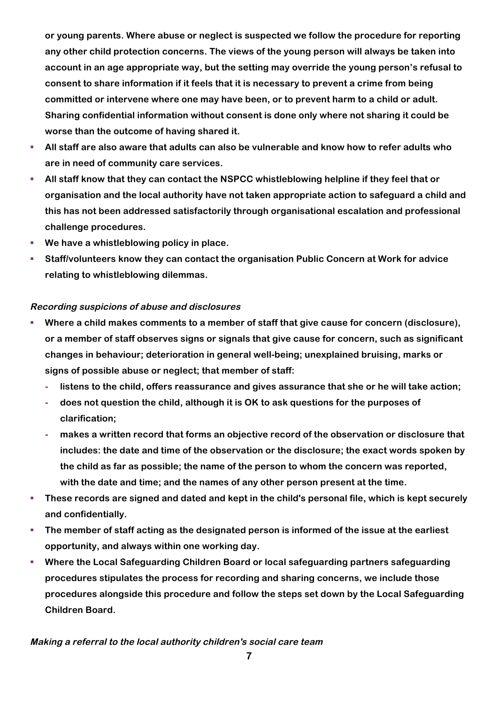**or young parents. Where abuse or neglect is suspected we follow the procedure for reporting any other child protection concerns. The views of the young person will always be taken into account in an age appropriate way, but the setting may override the young person's refusal to consent to share information if it feels that it is necessary to prevent a crime from being committed or intervene where one may have been, or to prevent harm to a child or adult. Sharing confidential information without consent is done only where not sharing it could be worse than the outcome of having shared it.**

- § **All staff are also aware that adults can also be vulnerable and know how to refer adults who are in need of community care services.**
- § **All staff know that they can contact the NSPCC whistleblowing helpline if they feel that or organisation and the local authority have not taken appropriate action to safeguard a child and this has not been addressed satisfactorily through organisational escalation and professional challenge procedures.**
- § **We have a whistleblowing policy in place.**
- § **Staff/volunteers know they can contact the organisation Public Concern at Work for advice relating to whistleblowing dilemmas.**

## **Recording suspicions of abuse and disclosures**

- § **Where a child makes comments to a member of staff that give cause for concern (disclosure), or a member of staff observes signs or signals that give cause for concern, such as significant changes in behaviour; deterioration in general well-being; unexplained bruising, marks or signs of possible abuse or neglect; that member of staff:**
	- **- listens to the child, offers reassurance and gives assurance that she or he will take action;**
	- **- does not question the child, although it is OK to ask questions for the purposes of clarification;**
	- **- makes a written record that forms an objective record of the observation or disclosure that includes: the date and time of the observation or the disclosure; the exact words spoken by the child as far as possible; the name of the person to whom the concern was reported, with the date and time; and the names of any other person present at the time.**
- § **These records are signed and dated and kept in the child's personal file, which is kept securely and confidentially.**
- § **The member of staff acting as the designated person is informed of the issue at the earliest opportunity, and always within one working day.**
- § **Where the Local Safeguarding Children Board or local safeguarding partners safeguarding procedures stipulates the process for recording and sharing concerns, we include those procedures alongside this procedure and follow the steps set down by the Local Safeguarding Children Board.**

## **Making a referral to the local authority children's social care team**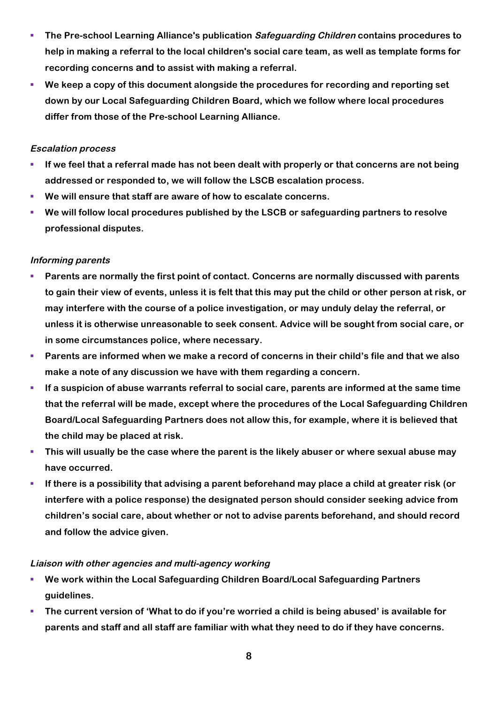- § **The Pre-school Learning Alliance's publication Safeguarding Children contains procedures to help in making a referral to the local children's social care team, as well as template forms for recording concerns and to assist with making a referral.**
- § **We keep a copy of this document alongside the procedures for recording and reporting set down by our Local Safeguarding Children Board, which we follow where local procedures differ from those of the Pre-school Learning Alliance.**

#### **Escalation process**

- § **If we feel that a referral made has not been dealt with properly or that concerns are not being addressed or responded to, we will follow the LSCB escalation process.**
- § **We will ensure that staff are aware of how to escalate concerns.**
- § **We will follow local procedures published by the LSCB or safeguarding partners to resolve professional disputes.**

## **Informing parents**

- § **Parents are normally the first point of contact. Concerns are normally discussed with parents to gain their view of events, unless it is felt that this may put the child or other person at risk, or may interfere with the course of a police investigation, or may unduly delay the referral, or unless it is otherwise unreasonable to seek consent. Advice will be sought from social care, or in some circumstances police, where necessary.**
- § **Parents are informed when we make a record of concerns in their child's file and that we also make a note of any discussion we have with them regarding a concern.**
- § **If a suspicion of abuse warrants referral to social care, parents are informed at the same time that the referral will be made, except where the procedures of the Local Safeguarding Children Board/Local Safeguarding Partners does not allow this, for example, where it is believed that the child may be placed at risk.**
- **This will usually be the case where the parent is the likely abuser or where sexual abuse may have occurred.**
- **If there is a possibility that advising a parent beforehand may place a child at greater risk (or interfere with a police response) the designated person should consider seeking advice from children's social care, about whether or not to advise parents beforehand, and should record and follow the advice given.**

## **Liaison with other agencies and multi-agency working**

- § **We work within the Local Safeguarding Children Board/Local Safeguarding Partners guidelines.**
- § **The current version of 'What to do if you're worried a child is being abused' is available for parents and staff and all staff are familiar with what they need to do if they have concerns.**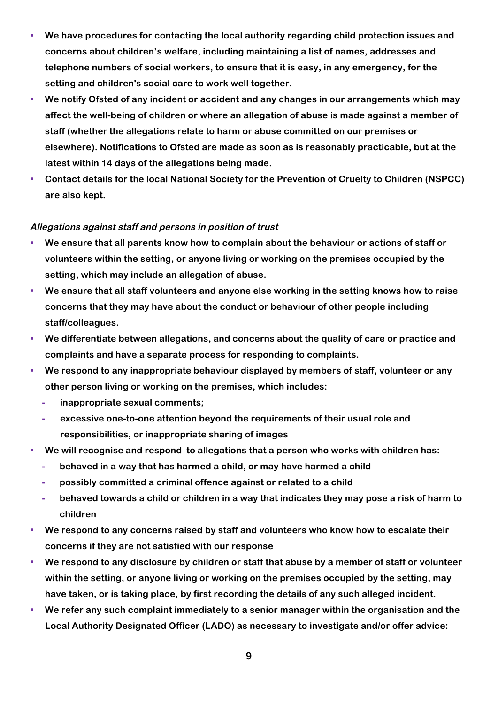- § **We have procedures for contacting the local authority regarding child protection issues and concerns about children's welfare, including maintaining a list of names, addresses and telephone numbers of social workers, to ensure that it is easy, in any emergency, for the setting and children's social care to work well together.**
- We notify Ofsted of any incident or accident and any changes in our arrangements which may **affect the well-being of children or where an allegation of abuse is made against a member of staff (whether the allegations relate to harm or abuse committed on our premises or elsewhere). Notifications to Ofsted are made as soon as is reasonably practicable, but at the latest within 14 days of the allegations being made.**
- Contact details for the local National Society for the Prevention of Cruelty to Children (NSPCC) **are also kept.**

#### **Allegations against staff and persons in position of trust**

- § **We ensure that all parents know how to complain about the behaviour or actions of staff or volunteers within the setting, or anyone living or working on the premises occupied by the setting, which may include an allegation of abuse.**
- § **We ensure that all staff volunteers and anyone else working in the setting knows how to raise concerns that they may have about the conduct or behaviour of other people including staff/colleagues.**
- We differentiate between allegations, and concerns about the quality of care or practice and **complaints and have a separate process for responding to complaints.**
- We respond to any inappropriate behaviour displayed by members of staff, volunteer or any **other person living or working on the premises, which includes:**
	- **- inappropriate sexual comments;**
	- **- excessive one-to-one attention beyond the requirements of their usual role and responsibilities, or inappropriate sharing of images**
- We will recognise and respond to allegations that a person who works with children has:
	- **- behaved in a way that has harmed a child, or may have harmed a child**
	- **- possibly committed a criminal offence against or related to a child**
	- **- behaved towards a child or children in a way that indicates they may pose a risk of harm to children**
- § **We respond to any concerns raised by staff and volunteers who know how to escalate their concerns if they are not satisfied with our response**
- We respond to any disclosure by children or staff that abuse by a member of staff or volunteer **within the setting, or anyone living or working on the premises occupied by the setting, may have taken, or is taking place, by first recording the details of any such alleged incident.**
- § **We refer any such complaint immediately to a senior manager within the organisation and the Local Authority Designated Officer (LADO) as necessary to investigate and/or offer advice:**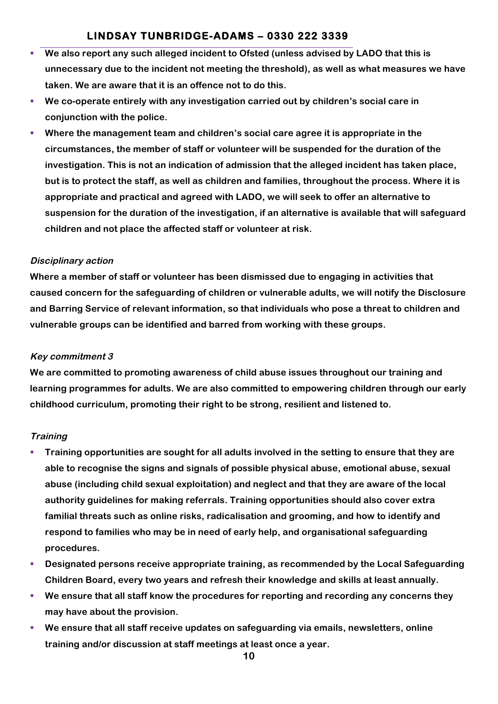## **LINDSAY TUNBRIDGE-ADAMS – 0330 222 3339**

- § **We also report any such alleged incident to Ofsted (unless advised by LADO that this is unnecessary due to the incident not meeting the threshold), as well as what measures we have taken. We are aware that it is an offence not to do this.**
- § **We co-operate entirely with any investigation carried out by children's social care in conjunction with the police.**
- § **Where the management team and children's social care agree it is appropriate in the circumstances, the member of staff or volunteer will be suspended for the duration of the investigation. This is not an indication of admission that the alleged incident has taken place, but is to protect the staff, as well as children and families, throughout the process. Where it is appropriate and practical and agreed with LADO, we will seek to offer an alternative to suspension for the duration of the investigation, if an alternative is available that will safeguard children and not place the affected staff or volunteer at risk.**

## **Disciplinary action**

**Where a member of staff or volunteer has been dismissed due to engaging in activities that caused concern for the safeguarding of children or vulnerable adults, we will notify the Disclosure and Barring Service of relevant information, so that individuals who pose a threat to children and vulnerable groups can be identified and barred from working with these groups.**

#### **Key commitment 3**

**We are committed to promoting awareness of child abuse issues throughout our training and learning programmes for adults. We are also committed to empowering children through our early childhood curriculum, promoting their right to be strong, resilient and listened to.**

#### **Training**

- § **Training opportunities are sought for all adults involved in the setting to ensure that they are able to recognise the signs and signals of possible physical abuse, emotional abuse, sexual abuse (including child sexual exploitation) and neglect and that they are aware of the local authority guidelines for making referrals. Training opportunities should also cover extra familial threats such as online risks, radicalisation and grooming, and how to identify and respond to families who may be in need of early help, and organisational safeguarding procedures.**
- § **Designated persons receive appropriate training, as recommended by the Local Safeguarding Children Board, every two years and refresh their knowledge and skills at least annually.**
- § **We ensure that all staff know the procedures for reporting and recording any concerns they may have about the provision.**
- § **We ensure that all staff receive updates on safeguarding via emails, newsletters, online training and/or discussion at staff meetings at least once a year.**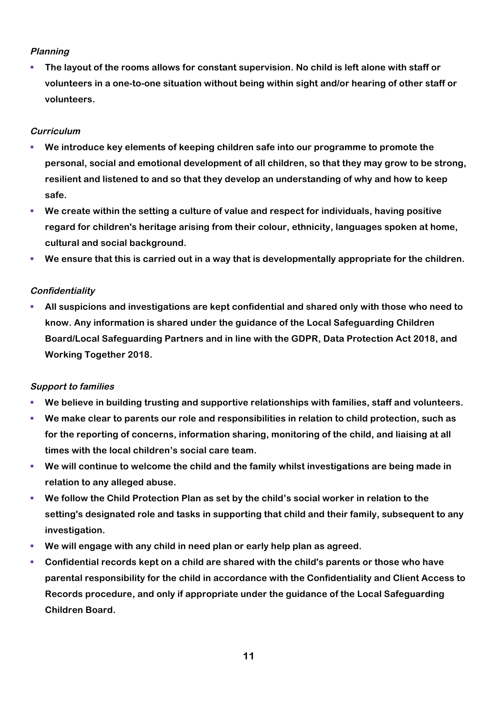## **Planning**

§ **The layout of the rooms allows for constant supervision. No child is left alone with staff or volunteers in a one-to-one situation without being within sight and/or hearing of other staff or volunteers.**

## **Curriculum**

- § **We introduce key elements of keeping children safe into our programme to promote the personal, social and emotional development of all children, so that they may grow to be strong, resilient and listened to and so that they develop an understanding of why and how to keep safe.**
- § **We create within the setting a culture of value and respect for individuals, having positive regard for children's heritage arising from their colour, ethnicity, languages spoken at home, cultural and social background.**
- § **We ensure that this is carried out in a way that is developmentally appropriate for the children.**

## **Confidentiality**

§ **All suspicions and investigations are kept confidential and shared only with those who need to know. Any information is shared under the guidance of the Local Safeguarding Children Board/Local Safeguarding Partners and in line with the GDPR, Data Protection Act 2018, and Working Together 2018.**

## **Support to families**

- § **We believe in building trusting and supportive relationships with families, staff and volunteers.**
- § **We make clear to parents our role and responsibilities in relation to child protection, such as for the reporting of concerns, information sharing, monitoring of the child, and liaising at all times with the local children's social care team.**
- We will continue to welcome the child and the family whilst investigations are being made in **relation to any alleged abuse.**
- We follow the Child Protection Plan as set by the child's social worker in relation to the **setting's designated role and tasks in supporting that child and their family, subsequent to any investigation.**
- § **We will engage with any child in need plan or early help plan as agreed.**
- § **Confidential records kept on a child are shared with the child's parents or those who have parental responsibility for the child in accordance with the Confidentiality and Client Access to Records procedure, and only if appropriate under the guidance of the Local Safeguarding Children Board.**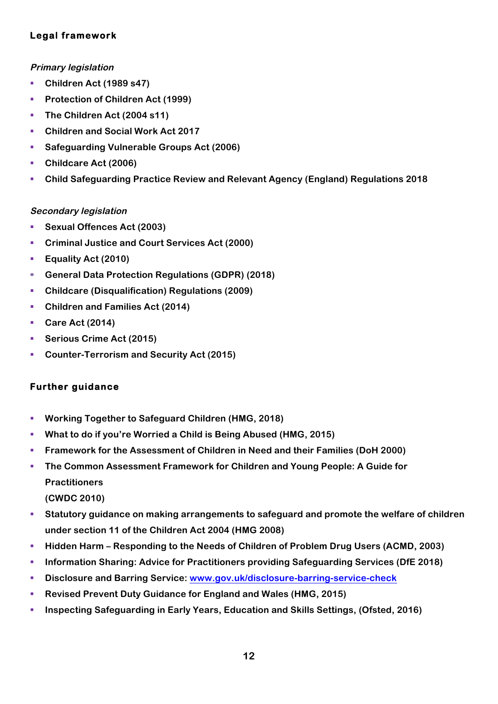## **Legal framework**

## **Primary legislation**

- § **Children Act (1989 s47)**
- § **Protection of Children Act (1999)**
- § **The Children Act (2004 s11)**
- § **Children and Social Work Act 2017**
- § **Safeguarding Vulnerable Groups Act (2006)**
- § **Childcare Act (2006)**
- § **Child Safeguarding Practice Review and Relevant Agency (England) Regulations 2018**

## **Secondary legislation**

- § **Sexual Offences Act (2003)**
- § **Criminal Justice and Court Services Act (2000)**
- § **Equality Act (2010)**
- § **General Data Protection Regulations (GDPR) (2018)**
- § **Childcare (Disqualification) Regulations (2009)**
- § **Children and Families Act (2014)**
- Care Act (2014)
- Serious Crime Act (2015)
- Counter-Terrorism and Security Act (2015)

## **Further guidance**

- § **Working Together to Safeguard Children (HMG, 2018)**
- § **What to do if you're Worried a Child is Being Abused (HMG, 2015)**
- § **Framework for the Assessment of Children in Need and their Families (DoH 2000)**
- The Common Assessment Framework for Children and Young People: A Guide for **Practitioners (CWDC 2010)**
- **Statutory guidance on making arrangements to safeguard and promote the welfare of children under section 11 of the Children Act 2004 (HMG 2008)**
- § **Hidden Harm – Responding to the Needs of Children of Problem Drug Users (ACMD, 2003)**
- § **Information Sharing: Advice for Practitioners providing Safeguarding Services (DfE 2018)**
- § **Disclosure and Barring Service: www.gov.uk/disclosure-barring-service-check**
- § **Revised Prevent Duty Guidance for England and Wales (HMG, 2015)**
- § **Inspecting Safeguarding in Early Years, Education and Skills Settings, (Ofsted, 2016)**